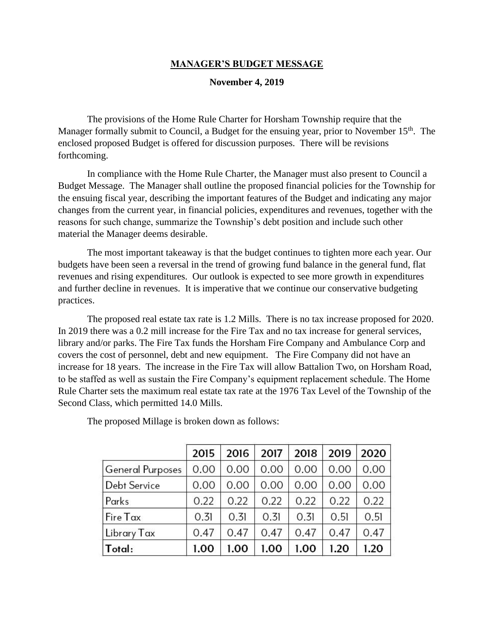## **MANAGER'S BUDGET MESSAGE**

## **November 4, 2019**

The provisions of the Home Rule Charter for Horsham Township require that the Manager formally submit to Council, a Budget for the ensuing year, prior to November 15<sup>th</sup>. The enclosed proposed Budget is offered for discussion purposes. There will be revisions forthcoming.

In compliance with the Home Rule Charter, the Manager must also present to Council a Budget Message. The Manager shall outline the proposed financial policies for the Township for the ensuing fiscal year, describing the important features of the Budget and indicating any major changes from the current year, in financial policies, expenditures and revenues, together with the reasons for such change, summarize the Township's debt position and include such other material the Manager deems desirable.

The most important takeaway is that the budget continues to tighten more each year. Our budgets have been seen a reversal in the trend of growing fund balance in the general fund, flat revenues and rising expenditures. Our outlook is expected to see more growth in expenditures and further decline in revenues. It is imperative that we continue our conservative budgeting practices.

The proposed real estate tax rate is 1.2 Mills. There is no tax increase proposed for 2020. In 2019 there was a 0.2 mill increase for the Fire Tax and no tax increase for general services, library and/or parks. The Fire Tax funds the Horsham Fire Company and Ambulance Corp and covers the cost of personnel, debt and new equipment. The Fire Company did not have an increase for 18 years. The increase in the Fire Tax will allow Battalion Two, on Horsham Road, to be staffed as well as sustain the Fire Company's equipment replacement schedule. The Home Rule Charter sets the maximum real estate tax rate at the 1976 Tax Level of the Township of the Second Class, which permitted 14.0 Mills.

|                         | 2015 | 2016 | 2017 | 2018 | 2019 | 2020 |
|-------------------------|------|------|------|------|------|------|
| <b>General Purposes</b> | 0.00 | 0.00 | 0.00 | 0.00 | 0.00 | 0.00 |
| <b>Debt Service</b>     | 0.00 | 0.00 | 0.00 | 0.00 | 0.00 | 0.00 |
| Parks                   | 0.22 | 0.22 | 0.22 | 0.22 | 0.22 | 0.22 |
| Fire Tax                | 0.31 | 0.31 | 0.31 | 0.31 | 0.51 | 0.51 |
| Library Tax             | 0.47 | 0.47 | 0.47 | 0.47 | 0.47 | 0.47 |
| Total:                  | 1.00 | 1.00 | 1.00 | 1.00 | 1.20 | 1.20 |

The proposed Millage is broken down as follows: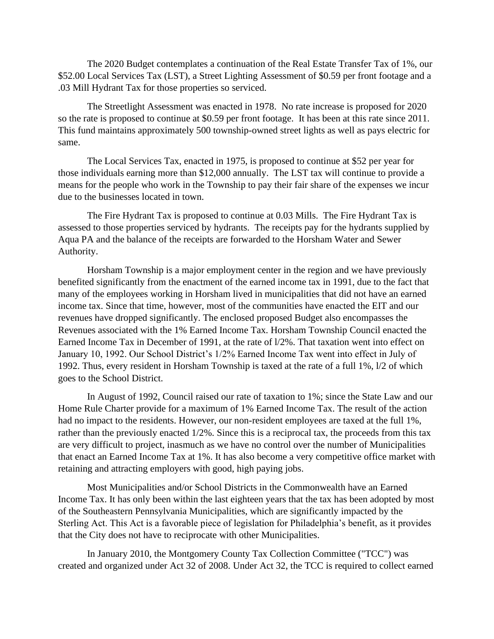The 2020 Budget contemplates a continuation of the Real Estate Transfer Tax of 1%, our \$52.00 Local Services Tax (LST), a Street Lighting Assessment of \$0.59 per front footage and a .03 Mill Hydrant Tax for those properties so serviced.

The Streetlight Assessment was enacted in 1978. No rate increase is proposed for 2020 so the rate is proposed to continue at \$0.59 per front footage. It has been at this rate since 2011. This fund maintains approximately 500 township-owned street lights as well as pays electric for same.

The Local Services Tax, enacted in 1975, is proposed to continue at \$52 per year for those individuals earning more than \$12,000 annually. The LST tax will continue to provide a means for the people who work in the Township to pay their fair share of the expenses we incur due to the businesses located in town.

The Fire Hydrant Tax is proposed to continue at 0.03 Mills. The Fire Hydrant Tax is assessed to those properties serviced by hydrants. The receipts pay for the hydrants supplied by Aqua PA and the balance of the receipts are forwarded to the Horsham Water and Sewer Authority.

Horsham Township is a major employment center in the region and we have previously benefited significantly from the enactment of the earned income tax in 1991, due to the fact that many of the employees working in Horsham lived in municipalities that did not have an earned income tax. Since that time, however, most of the communities have enacted the EIT and our revenues have dropped significantly. The enclosed proposed Budget also encompasses the Revenues associated with the 1% Earned Income Tax. Horsham Township Council enacted the Earned Income Tax in December of 1991, at the rate of l/2%. That taxation went into effect on January 10, 1992. Our School District's 1/2% Earned Income Tax went into effect in July of 1992. Thus, every resident in Horsham Township is taxed at the rate of a full 1%, l/2 of which goes to the School District.

In August of 1992, Council raised our rate of taxation to 1%; since the State Law and our Home Rule Charter provide for a maximum of 1% Earned Income Tax. The result of the action had no impact to the residents. However, our non-resident employees are taxed at the full 1%, rather than the previously enacted 1/2%. Since this is a reciprocal tax, the proceeds from this tax are very difficult to project, inasmuch as we have no control over the number of Municipalities that enact an Earned Income Tax at 1%. It has also become a very competitive office market with retaining and attracting employers with good, high paying jobs.

Most Municipalities and/or School Districts in the Commonwealth have an Earned Income Tax. It has only been within the last eighteen years that the tax has been adopted by most of the Southeastern Pennsylvania Municipalities, which are significantly impacted by the Sterling Act. This Act is a favorable piece of legislation for Philadelphia's benefit, as it provides that the City does not have to reciprocate with other Municipalities.

In January 2010, the Montgomery County Tax Collection Committee ("TCC") was created and organized under Act 32 of 2008. Under Act 32, the TCC is required to collect earned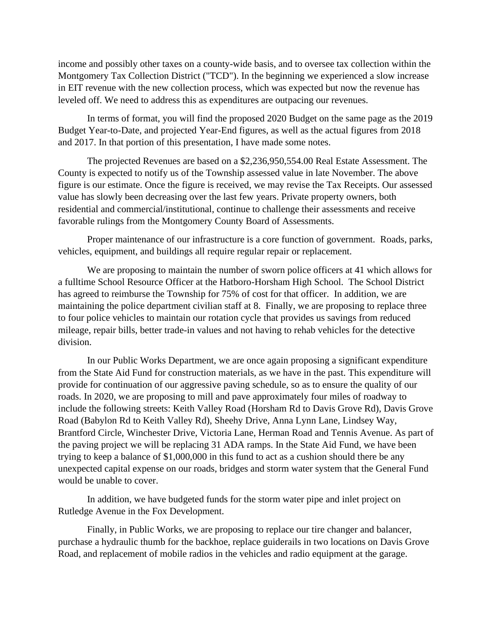income and possibly other taxes on a county-wide basis, and to oversee tax collection within the Montgomery Tax Collection District ("TCD"). In the beginning we experienced a slow increase in EIT revenue with the new collection process, which was expected but now the revenue has leveled off. We need to address this as expenditures are outpacing our revenues.

In terms of format, you will find the proposed 2020 Budget on the same page as the 2019 Budget Year-to-Date, and projected Year-End figures, as well as the actual figures from 2018 and 2017. In that portion of this presentation, I have made some notes.

The projected Revenues are based on a \$2,236,950,554.00 Real Estate Assessment. The County is expected to notify us of the Township assessed value in late November. The above figure is our estimate. Once the figure is received, we may revise the Tax Receipts. Our assessed value has slowly been decreasing over the last few years. Private property owners, both residential and commercial/institutional, continue to challenge their assessments and receive favorable rulings from the Montgomery County Board of Assessments.

Proper maintenance of our infrastructure is a core function of government. Roads, parks, vehicles, equipment, and buildings all require regular repair or replacement.

We are proposing to maintain the number of sworn police officers at 41 which allows for a fulltime School Resource Officer at the Hatboro-Horsham High School. The School District has agreed to reimburse the Township for 75% of cost for that officer. In addition, we are maintaining the police department civilian staff at 8. Finally, we are proposing to replace three to four police vehicles to maintain our rotation cycle that provides us savings from reduced mileage, repair bills, better trade-in values and not having to rehab vehicles for the detective division.

In our Public Works Department, we are once again proposing a significant expenditure from the State Aid Fund for construction materials, as we have in the past. This expenditure will provide for continuation of our aggressive paving schedule, so as to ensure the quality of our roads. In 2020, we are proposing to mill and pave approximately four miles of roadway to include the following streets: Keith Valley Road (Horsham Rd to Davis Grove Rd), Davis Grove Road (Babylon Rd to Keith Valley Rd), Sheehy Drive, Anna Lynn Lane, Lindsey Way, Brantford Circle, Winchester Drive, Victoria Lane, Herman Road and Tennis Avenue. As part of the paving project we will be replacing 31 ADA ramps. In the State Aid Fund, we have been trying to keep a balance of \$1,000,000 in this fund to act as a cushion should there be any unexpected capital expense on our roads, bridges and storm water system that the General Fund would be unable to cover.

In addition, we have budgeted funds for the storm water pipe and inlet project on Rutledge Avenue in the Fox Development.

Finally, in Public Works, we are proposing to replace our tire changer and balancer, purchase a hydraulic thumb for the backhoe, replace guiderails in two locations on Davis Grove Road, and replacement of mobile radios in the vehicles and radio equipment at the garage.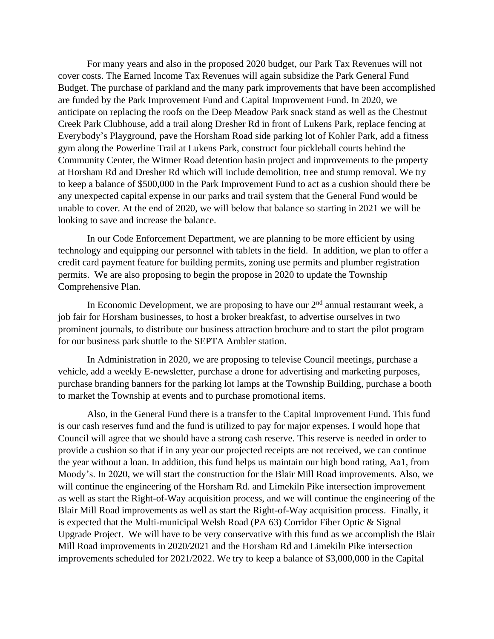For many years and also in the proposed 2020 budget, our Park Tax Revenues will not cover costs. The Earned Income Tax Revenues will again subsidize the Park General Fund Budget. The purchase of parkland and the many park improvements that have been accomplished are funded by the Park Improvement Fund and Capital Improvement Fund. In 2020, we anticipate on replacing the roofs on the Deep Meadow Park snack stand as well as the Chestnut Creek Park Clubhouse, add a trail along Dresher Rd in front of Lukens Park, replace fencing at Everybody's Playground, pave the Horsham Road side parking lot of Kohler Park, add a fitness gym along the Powerline Trail at Lukens Park, construct four pickleball courts behind the Community Center, the Witmer Road detention basin project and improvements to the property at Horsham Rd and Dresher Rd which will include demolition, tree and stump removal. We try to keep a balance of \$500,000 in the Park Improvement Fund to act as a cushion should there be any unexpected capital expense in our parks and trail system that the General Fund would be unable to cover. At the end of 2020, we will below that balance so starting in 2021 we will be looking to save and increase the balance.

In our Code Enforcement Department, we are planning to be more efficient by using technology and equipping our personnel with tablets in the field. In addition, we plan to offer a credit card payment feature for building permits, zoning use permits and plumber registration permits. We are also proposing to begin the propose in 2020 to update the Township Comprehensive Plan.

In Economic Development, we are proposing to have our  $2<sup>nd</sup>$  annual restaurant week, a job fair for Horsham businesses, to host a broker breakfast, to advertise ourselves in two prominent journals, to distribute our business attraction brochure and to start the pilot program for our business park shuttle to the SEPTA Ambler station.

In Administration in 2020, we are proposing to televise Council meetings, purchase a vehicle, add a weekly E-newsletter, purchase a drone for advertising and marketing purposes, purchase branding banners for the parking lot lamps at the Township Building, purchase a booth to market the Township at events and to purchase promotional items.

Also, in the General Fund there is a transfer to the Capital Improvement Fund. This fund is our cash reserves fund and the fund is utilized to pay for major expenses. I would hope that Council will agree that we should have a strong cash reserve. This reserve is needed in order to provide a cushion so that if in any year our projected receipts are not received, we can continue the year without a loan. In addition, this fund helps us maintain our high bond rating, Aa1, from Moody's. In 2020, we will start the construction for the Blair Mill Road improvements. Also, we will continue the engineering of the Horsham Rd. and Limekiln Pike intersection improvement as well as start the Right-of-Way acquisition process, and we will continue the engineering of the Blair Mill Road improvements as well as start the Right-of-Way acquisition process. Finally, it is expected that the Multi-municipal Welsh Road (PA 63) Corridor Fiber Optic & Signal Upgrade Project. We will have to be very conservative with this fund as we accomplish the Blair Mill Road improvements in 2020/2021 and the Horsham Rd and Limekiln Pike intersection improvements scheduled for 2021/2022. We try to keep a balance of \$3,000,000 in the Capital